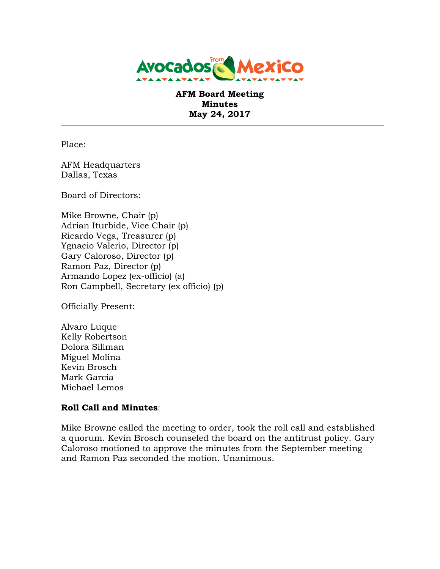

**AFM Board Meeting Minutes May 24, 2017**

Place:

AFM Headquarters Dallas, Texas

Board of Directors:

Mike Browne, Chair (p) Adrian Iturbide, Vice Chair (p) Ricardo Vega, Treasurer (p) Ygnacio Valerio, Director (p) Gary Caloroso, Director (p) Ramon Paz, Director (p) Armando Lopez (ex-officio) (a) Ron Campbell, Secretary (ex officio) (p)

Officially Present:

Alvaro Luque Kelly Robertson Dolora Sillman Miguel Molina Kevin Brosch Mark Garcia Michael Lemos

#### **Roll Call and Minutes**:

Mike Browne called the meeting to order, took the roll call and established a quorum. Kevin Brosch counseled the board on the antitrust policy. Gary Caloroso motioned to approve the minutes from the September meeting and Ramon Paz seconded the motion. Unanimous.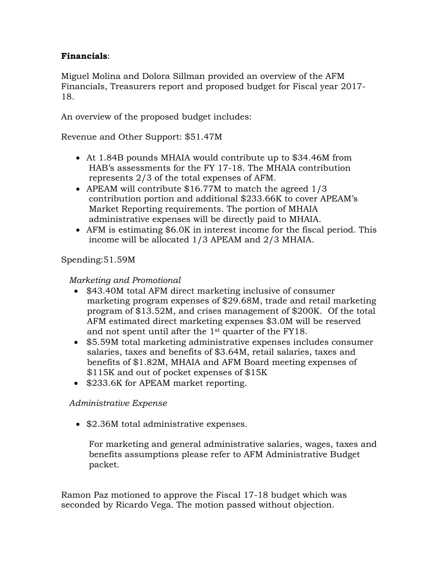## **Financials**:

Miguel Molina and Dolora Sillman provided an overview of the AFM Financials, Treasurers report and proposed budget for Fiscal year 2017- 18.

An overview of the proposed budget includes:

Revenue and Other Support: \$51.47M

- At 1.84B pounds MHAIA would contribute up to \$34.46M from HAB's assessments for the FY 17-18. The MHAIA contribution represents 2/3 of the total expenses of AFM.
- APEAM will contribute \$16.77M to match the agreed 1/3 contribution portion and additional \$233.66K to cover APEAM's Market Reporting requirements. The portion of MHAIA administrative expenses will be directly paid to MHAIA.
- AFM is estimating \$6.0K in interest income for the fiscal period. This income will be allocated 1/3 APEAM and 2/3 MHAIA.

Spending:51.59M

### *Marketing and Promotional*

- \$43.40M total AFM direct marketing inclusive of consumer marketing program expenses of \$29.68M, trade and retail marketing program of \$13.52M, and crises management of \$200K. Of the total AFM estimated direct marketing expenses \$3.0M will be reserved and not spent until after the 1st quarter of the FY18.
- \$5.59M total marketing administrative expenses includes consumer salaries, taxes and benefits of \$3.64M, retail salaries, taxes and benefits of \$1.82M, MHAIA and AFM Board meeting expenses of \$115K and out of pocket expenses of \$15K
- \$233.6K for APEAM market reporting.

#### *Administrative Expense*

• \$2.36M total administrative expenses.

For marketing and general administrative salaries, wages, taxes and benefits assumptions please refer to AFM Administrative Budget packet.

Ramon Paz motioned to approve the Fiscal 17-18 budget which was seconded by Ricardo Vega. The motion passed without objection.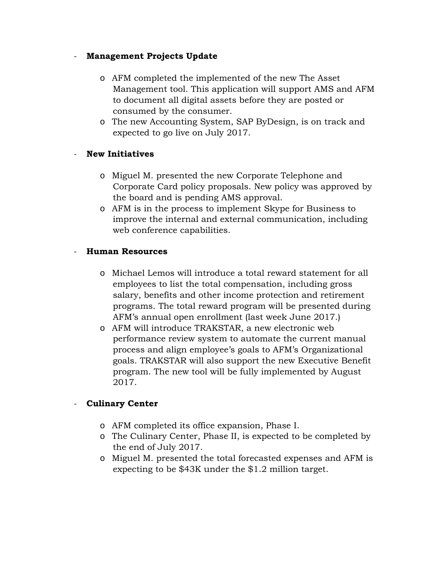## - **Management Projects Update**

- o AFM completed the implemented of the new The Asset Management tool. This application will support AMS and AFM to document all digital assets before they are posted or consumed by the consumer.
- o The new Accounting System, SAP ByDesign, is on track and expected to go live on July 2017.

# - **New Initiatives**

- o Miguel M. presented the new Corporate Telephone and Corporate Card policy proposals. New policy was approved by the board and is pending AMS approval.
- o AFM is in the process to implement Skype for Business to improve the internal and external communication, including web conference capabilities.

## - **Human Resources**

- o Michael Lemos will introduce a total reward statement for all employees to list the total compensation, including gross salary, benefits and other income protection and retirement programs. The total reward program will be presented during AFM's annual open enrollment (last week June 2017.)
- o AFM will introduce TRAKSTAR, a new electronic web performance review system to automate the current manual process and align employee's goals to AFM's Organizational goals. TRAKSTAR will also support the new Executive Benefit program. The new tool will be fully implemented by August 2017.

## - **Culinary Center**

- o AFM completed its office expansion, Phase I.
- o The Culinary Center, Phase II, is expected to be completed by the end of July 2017.
- o Miguel M. presented the total forecasted expenses and AFM is expecting to be \$43K under the \$1.2 million target.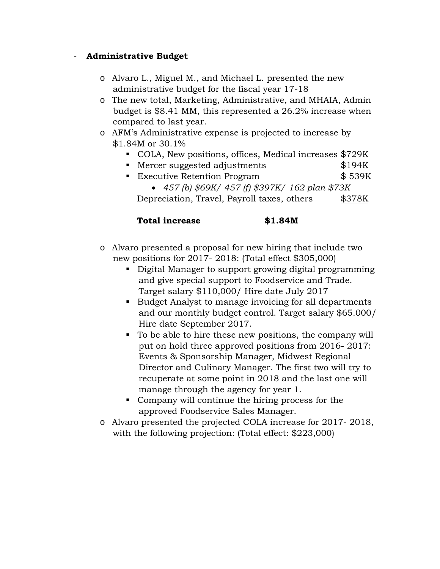## - **Administrative Budget**

- o Alvaro L., Miguel M., and Michael L. presented the new administrative budget for the fiscal year 17-18
- o The new total, Marketing, Administrative, and MHAIA, Admin budget is \$8.41 MM, this represented a 26.2% increase when compared to last year.
- o AFM's Administrative expense is projected to increase by \$1.84M or 30.1%
	- COLA, New positions, offices, Medical increases \$729K
	- Mercer suggested adjustments \$194K
	- Executive Retention Program \$ 539K • *457 (b) \$69K/ 457 (f) \$397K/ 162 plan \$73K* Depreciation, Travel, Payroll taxes, others \$378K

# **Total increase \$1.84M**

- o Alvaro presented a proposal for new hiring that include two new positions for 2017- 2018: (Total effect \$305,000)
	- Digital Manager to support growing digital programming and give special support to Foodservice and Trade. Target salary \$110,000/ Hire date July 2017
	- Budget Analyst to manage invoicing for all departments and our monthly budget control. Target salary \$65.000/ Hire date September 2017.
	- To be able to hire these new positions, the company will put on hold three approved positions from 2016- 2017: Events & Sponsorship Manager, Midwest Regional Director and Culinary Manager. The first two will try to recuperate at some point in 2018 and the last one will manage through the agency for year 1.
	- Company will continue the hiring process for the approved Foodservice Sales Manager.
- o Alvaro presented the projected COLA increase for 2017- 2018, with the following projection: (Total effect: \$223,000)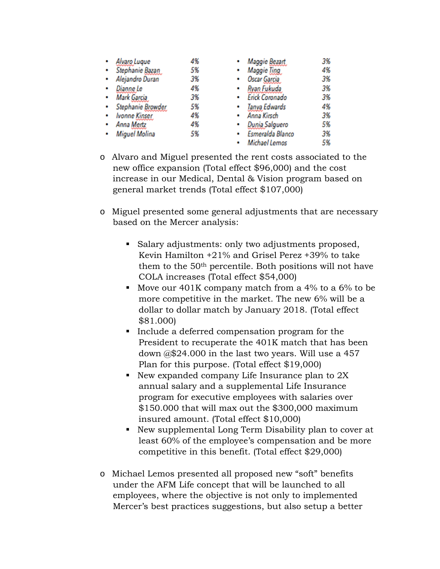|  | Alvaro Lugue         | 4% | Maggie Bezart         | 3% |
|--|----------------------|----|-----------------------|----|
|  | Stephanie Bazan      | 5% | <b>Maggie Ting</b>    | 4% |
|  | Alejandro Duran      | 3% | Oscar Garcia<br>٠     | 3% |
|  | Dianne Le            | 4% | Ryan Fukuda<br>٠      | 3% |
|  | Mark Garcia          | 3% | Erick Coronado<br>۰   | 3% |
|  | Stephanie Browder    | 5% | Tanya Edwards         | 4% |
|  | <b>Ivonne Kinser</b> | 4% | Anna Kirsch<br>٠      | 3% |
|  | Anna Mertz           | 4% | Dunia Salguero<br>٠   | 5% |
|  | Miguel Molina        | 5% | Esmeralda Blanco<br>٠ | 3% |
|  |                      |    | Michael Lemos         | 5% |

- o Alvaro and Miguel presented the rent costs associated to the new office expansion (Total effect \$96,000) and the cost increase in our Medical, Dental & Vision program based on general market trends (Total effect \$107,000)
- o Miguel presented some general adjustments that are necessary based on the Mercer analysis:
	- Salary adjustments: only two adjustments proposed, Kevin Hamilton +21% and Grisel Perez +39% to take them to the 50th percentile. Both positions will not have COLA increases (Total effect \$54,000)
	- Move our  $401K$  company match from a 4% to a 6% to be more competitive in the market. The new 6% will be a dollar to dollar match by January 2018. (Total effect \$81.000)
	- Include a deferred compensation program for the President to recuperate the 401K match that has been down @\$24.000 in the last two years. Will use a 457 Plan for this purpose. (Total effect \$19,000)
	- New expanded company Life Insurance plan to  $2X$ annual salary and a supplemental Life Insurance program for executive employees with salaries over \$150.000 that will max out the \$300,000 maximum insured amount. (Total effect \$10,000)
	- New supplemental Long Term Disability plan to cover at least 60% of the employee's compensation and be more competitive in this benefit. (Total effect \$29,000)
- o Michael Lemos presented all proposed new "soft" benefits under the AFM Life concept that will be launched to all employees, where the objective is not only to implemented Mercer's best practices suggestions, but also setup a better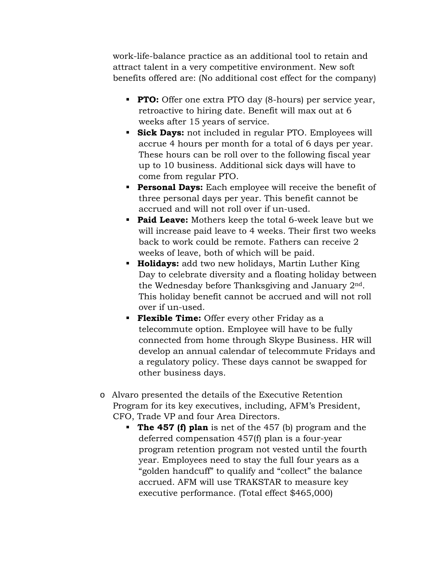work-life-balance practice as an additional tool to retain and attract talent in a very competitive environment. New soft benefits offered are: (No additional cost effect for the company)

- **PTO:** Offer one extra PTO day (8-hours) per service year, retroactive to hiring date. Benefit will max out at 6 weeks after 15 years of service.
- **Sick Days:** not included in regular PTO. Employees will accrue 4 hours per month for a total of 6 days per year. These hours can be roll over to the following fiscal year up to 10 business. Additional sick days will have to come from regular PTO.
- **Personal Days:** Each employee will receive the benefit of three personal days per year. This benefit cannot be accrued and will not roll over if un-used.
- **Paid Leave:** Mothers keep the total 6-week leave but we will increase paid leave to 4 weeks. Their first two weeks back to work could be remote. Fathers can receive 2 weeks of leave, both of which will be paid.
- **Holidays:** add two new holidays, Martin Luther King Day to celebrate diversity and a floating holiday between the Wednesday before Thanksgiving and January 2nd. This holiday benefit cannot be accrued and will not roll over if un-used.
- **Flexible Time:** Offer every other Friday as a telecommute option. Employee will have to be fully connected from home through Skype Business. HR will develop an annual calendar of telecommute Fridays and a regulatory policy. These days cannot be swapped for other business days.
- o Alvaro presented the details of the Executive Retention Program for its key executives, including, AFM's President, CFO, Trade VP and four Area Directors.
	- **The 457 (f) plan** is net of the 457 (b) program and the deferred compensation 457(f) plan is a four-year program retention program not vested until the fourth year. Employees need to stay the full four years as a "golden handcuff" to qualify and "collect" the balance accrued. AFM will use TRAKSTAR to measure key executive performance. (Total effect \$465,000)